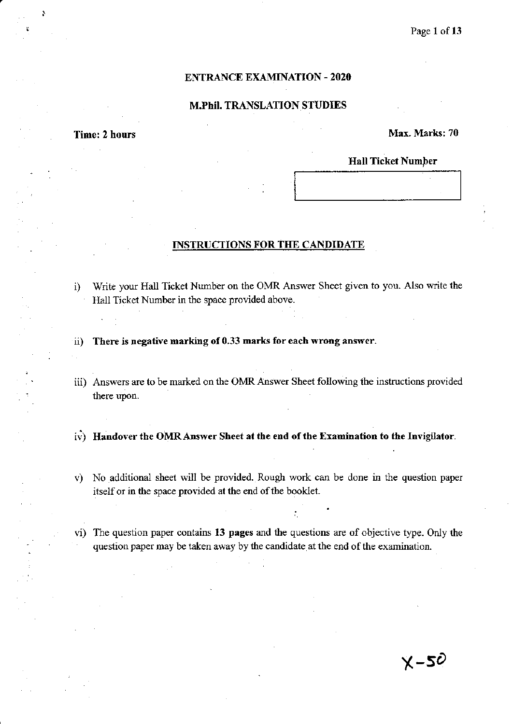# ENTRANCE EXAMINATION - 2020

## M.Phil. TRANSLATION STUDIES

,

# Time: 2 hours Max. Marks: 70

## Hall Ticket Number

### INSTRUCTIONS FOR THE CANDIDATE

- i) Write your Hall Ticket Number on the OMR Answer Sheet given to you. Also write the Hall Ticket Number in the space provided above.
- ii) There is negative marking of 0.33 marks for each wrong answer.
- iii) Answers are to be marked on the OMR Answer Sheet following the instructions provided there upon.
- i;) Handover the OMRAnswer Sheet at the end of the Examination to the Invigilator.
- v) No additional sheet will be provided. Rough work can be done in the question paper itself or in the space provided at the end of the booklet.
- vi) The question paper contains 13 pages and the questions are of objective type. Only the question paper may be taken away by the candidate, at the end of the examination.

 $X-50$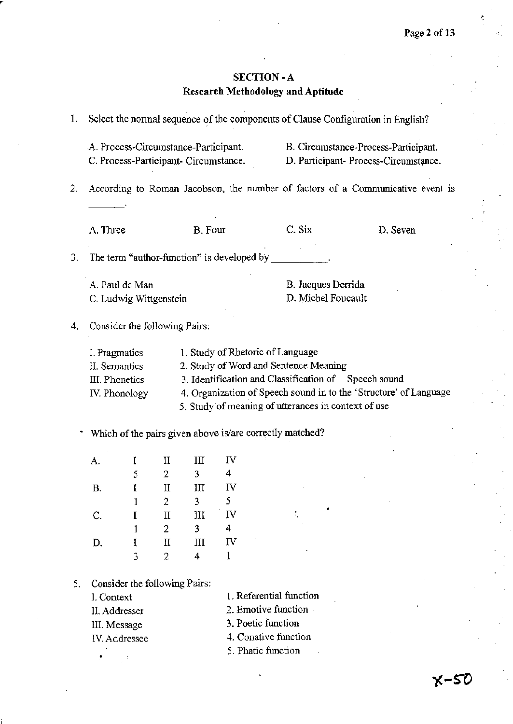# SECTION -A **Research Methodology and Aptitude**

| 1. | Select the normal sequence of the components of Clause Configuration in English? |                                                                               |                                |                     |                                                                                                                                                                                          |                                                                      |                                                                               |  |
|----|----------------------------------------------------------------------------------|-------------------------------------------------------------------------------|--------------------------------|---------------------|------------------------------------------------------------------------------------------------------------------------------------------------------------------------------------------|----------------------------------------------------------------------|-------------------------------------------------------------------------------|--|
|    |                                                                                  | A. Process-Circumstance-Participant.<br>C. Process-Participant- Circumstance. |                                |                     |                                                                                                                                                                                          |                                                                      | B. Circumstance-Process-Participant.<br>D. Participant- Process-Circumstance. |  |
| 2. | According to Roman Jacobson, the number of factors of a Communicative event is   |                                                                               |                                |                     |                                                                                                                                                                                          |                                                                      |                                                                               |  |
|    | A. Three                                                                         |                                                                               |                                | B. Four             |                                                                                                                                                                                          | C. Six                                                               | D. Seven                                                                      |  |
| 3. |                                                                                  |                                                                               |                                |                     | The term "author-function" is developed by $\overline{\phantom{a}}$                                                                                                                      |                                                                      |                                                                               |  |
|    |                                                                                  | A. Paul de Man<br>C. Ludwig Wittgenstein                                      |                                |                     |                                                                                                                                                                                          | B. Jacques Derrida<br>D. Michel Foucault                             |                                                                               |  |
| 4. |                                                                                  | Consider the following Pairs:                                                 |                                |                     |                                                                                                                                                                                          |                                                                      |                                                                               |  |
|    | I. Pragmatics<br>II. Semantics<br>III. Phonetics<br>IV. Phonology                |                                                                               |                                |                     | 1. Study of Rhetoric of Language<br>2. Study of Word and Sentence Meaning<br>3. Identification and Classification of Speech sound<br>5. Study of meaning of utterances in context of use | 4. Organization of Speech sound in to the 'Structure' of Language    |                                                                               |  |
|    |                                                                                  |                                                                               |                                |                     |                                                                                                                                                                                          | Which of the pairs given above is/are correctly matched?             |                                                                               |  |
|    | А.                                                                               | I<br>5                                                                        | $\mathbf{I}$<br>$\overline{2}$ | Ш<br>3 <sup>7</sup> | IV<br>4                                                                                                                                                                                  |                                                                      |                                                                               |  |
|    | <b>B.</b>                                                                        | I                                                                             | $_{\rm II}$<br>2               | III<br>3            | IV<br>5                                                                                                                                                                                  |                                                                      |                                                                               |  |
|    | С.                                                                               | L<br>1                                                                        | Π<br>2                         | Ш<br>3              | IV<br>4                                                                                                                                                                                  |                                                                      |                                                                               |  |
|    | D.                                                                               | I<br>3                                                                        | П<br>2                         | Ш<br>4              | IV.<br>1                                                                                                                                                                                 |                                                                      |                                                                               |  |
| 5. | I. Context                                                                       | Consider the following Pairs:<br>II. Addresser<br>III. Message                |                                |                     |                                                                                                                                                                                          | 1. Referential function<br>2. Emotive function<br>3. Poetic function |                                                                               |  |
|    |                                                                                  | IV. Addressee                                                                 |                                |                     |                                                                                                                                                                                          | 4. Conative function<br>5. Phatic function                           |                                                                               |  |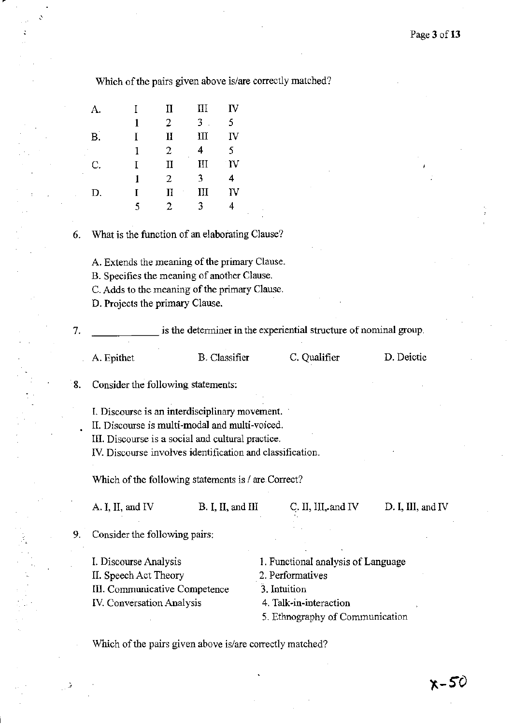Which of the pairs given above is/are correctly matched?

| A.        | I | П            | Ш     | IV           |
|-----------|---|--------------|-------|--------------|
|           | 1 | 2            | $3$ . | 5            |
| <b>B.</b> | T | II           | Ш     | IV           |
|           | 1 | 2<br>٠       | 4     | 5.           |
| C.        | Τ | $_{\rm II}$  | III   | $\mathbf{V}$ |
|           | 1 | 2            | 3     | 4            |
| D.        | T | Π<br>$\cdot$ | Ш     | IV           |
|           | 5 | 2            | ٦     | 4            |

6. What is the function of an elaborating Clause?

A. Extends the meaning of the primary Clause.

B. Specifies the meaning of another Clause.

C. Adds to the meaning of the primary Clause.

D. Projects the primary Clause.

7. \_\_\_\_\_\_ is the determiner in the experiential structure of nominal group.

A. Epithet B. Classifier C. Qualifier D. Deictic

8. Consider the following statements:

I. Discourse is an interdisciplinary movement.

II. Discourse is multi-modal and multi-voiced.

III. Discourse is a social and cultural practice.

IV. Discourse involves identification and classification.

Which of the following statements is / are Correct?

A. I, II, and IV B. I, II, and III C. II, III, and IV

D. I, III, and IV

9. Consider the following pairs:

L Discourse Analysis II. Speech Act Theory 1. Functional analysis of Language III. Communicative Competence IV. Conversation Analysis 2. Performatives 3. Intuition 4. Talk-in-interaction

5. Ethnography of Communication

Which of the pairs given above is/are correctly matched?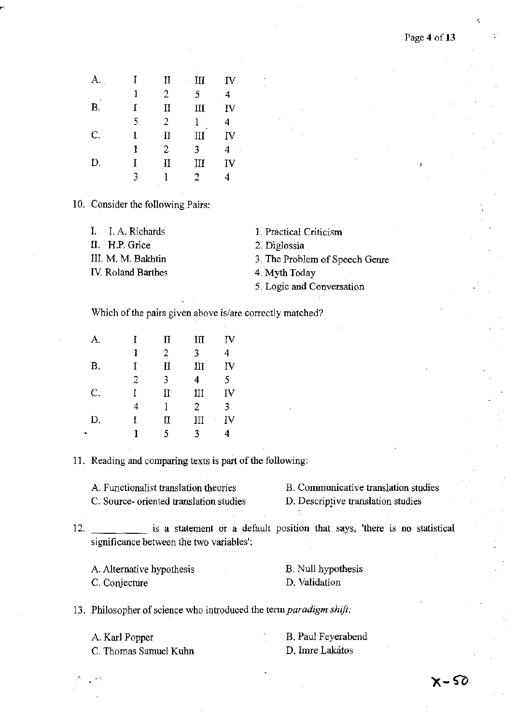| А. | I | $_{\rm II}$    | Ш<br>ï         | IV |
|----|---|----------------|----------------|----|
|    | 1 | 2              | 5              |    |
| Β. | Ĭ | П              | Ш              | IV |
|    | 5 | $\overline{2}$ | 1              | 4  |
| C. | I | П              | Ш              | IV |
|    | 1 | 2              | 3              | 4  |
| D. | Ĩ | Π              | III            | IV |
|    | 3 |                | $\overline{2}$ | 4  |
|    |   | ٠              |                |    |

10. Consider the following Pairs:

II. H.P. Grice 2. Diglossia

IV. Roland Barthes 4. Myth Today

I. I. A. Richards 1. Practical Criticism

III. M. M. Bakhtin 3. The Problem of Speech Genre

5. Logic and Conversation

Which of the pairs given above is/are correctly matched?

| А.        | T | $_{\rm II}$  | Щ | IV      |
|-----------|---|--------------|---|---------|
|           | 1 | 2            | 3 | 4       |
| <b>B.</b> | T | Η            | Ш | IV      |
|           | 2 | 3            | 4 | 5       |
| C.        | Ĭ | $\mathbf{I}$ | Ш | IV      |
|           | 4 | 1            | 2 | 3       |
| D.        | Ţ | II           | Ш | IV<br>ï |
|           |   | 5            | ٩ | 4       |

11. Reading and comparing texts is part of the following:

A. Functionalist translation theories C. Source- oriented translation studies B. Communicative translation studies

D. Descriptive translation studies

12. \_\_\_\_\_ is a statement or a default position that says, 'there is no statistical significance between the two variables':

A. Alternative hypothesis C. Conjecture B. Null hypothesis D. Validation

13. Philosopher of science who introduced the *tennparadigm shift:* 

| A. Karl Popper        | B. Paul Feyerabend |
|-----------------------|--------------------|
| C. Thomas Samuel Kuhn | D. Imre Lakatos    |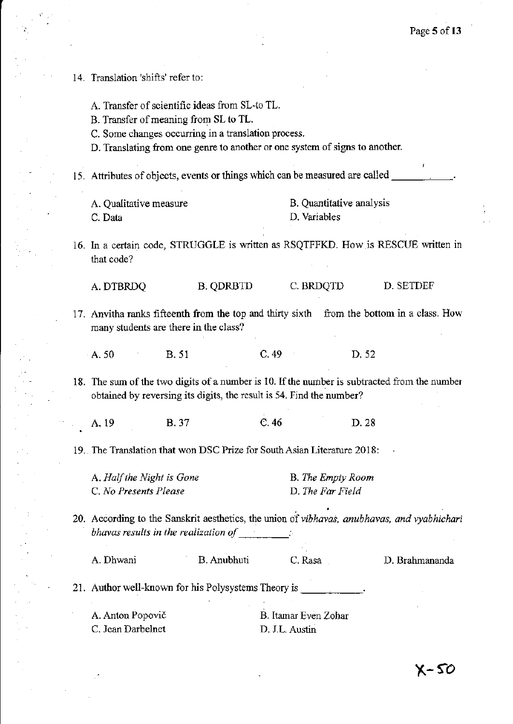Ļ,

| 14. Translation 'shifts' refer to:                                           |                                                                                                                                                                                                                               |                                        |                                       |                                                                                              |
|------------------------------------------------------------------------------|-------------------------------------------------------------------------------------------------------------------------------------------------------------------------------------------------------------------------------|----------------------------------------|---------------------------------------|----------------------------------------------------------------------------------------------|
|                                                                              | A. Transfer of scientific ideas from SL-to TL.<br>B. Transfer of meaning from SL to TL.<br>C. Some changes occurring in a translation process.<br>D. Translating from one genre to another or one system of signs to another. |                                        |                                       |                                                                                              |
| 15. Attributes of objects, events or things which can be measured are called |                                                                                                                                                                                                                               |                                        |                                       |                                                                                              |
| A. Qualitative measure<br>C. Data                                            |                                                                                                                                                                                                                               | D. Variables                           | B. Quantitative analysis              |                                                                                              |
| that code?                                                                   |                                                                                                                                                                                                                               |                                        |                                       | 16. In a certain code, STRUGGLE is written as RSQTFFKD. How is RESCUE written in             |
| A. DTBRDQ                                                                    | <b>B. QDRBTD</b>                                                                                                                                                                                                              |                                        | C. BRDQTD                             | D. SETDEF                                                                                    |
| many students are there in the class?                                        |                                                                                                                                                                                                                               |                                        |                                       | 17. Anvitha ranks fifteenth from the top and thirty sixth from the bottom in a class. How    |
| $\mathbf{A}$ . 50                                                            | <b>B.</b> 51                                                                                                                                                                                                                  | C.49                                   | D. 52                                 |                                                                                              |
|                                                                              | obtained by reversing its digits, the result is 54. Find the number?                                                                                                                                                          |                                        |                                       | 18. The sum of the two digits of a number is 10. If the number is subtracted from the number |
| A. 19                                                                        | <b>B.37</b>                                                                                                                                                                                                                   | C.46                                   | D. 28                                 |                                                                                              |
| 19. The Translation that won DSC Prize for South Asian Literature 2018:      |                                                                                                                                                                                                                               |                                        |                                       |                                                                                              |
| A. Half the Night is Gone<br>C. No Presents Please                           |                                                                                                                                                                                                                               |                                        | B. The Empty Room<br>D. The Far Field |                                                                                              |
|                                                                              | bhavas results in the realization of $\Box$                                                                                                                                                                                   |                                        |                                       | 20. According to the Sanskrit aesthetics, the union of vibhavas, anubhavas, and vyabhichari  |
| A. Dhwani                                                                    | B. Anubhuti                                                                                                                                                                                                                   | C. Rasa                                |                                       | D. Brahmananda                                                                               |
| 21. Author well-known for his Polysystems Theory is ____________.            |                                                                                                                                                                                                                               |                                        |                                       |                                                                                              |
| A. Anton Popovič<br>C. Jean Darbelnet                                        |                                                                                                                                                                                                                               | B. Itamar Even Zohar<br>D. J.L. Austin |                                       |                                                                                              |

 $\ddot{\phantom{0}}$ 

 $\frac{1}{\sqrt{2}}$ 

 $\sim$   $\sim$ 

 $\mathcal{A}$ 

 $\bar{\beta}$ 

 $\frac{\mathcal{O}(\frac{1}{\sqrt{2}})}{\mathcal{O}(\frac{1}{\sqrt{2}})}$ 

 $\epsilon =1$ 

 $\ddot{\phantom{0}}$ 

 $\bar{z}$ 

 $\bar{\beta}$ 

 $\hat{\mathcal{A}}$ 

 $\sim$ 

 $\mathbb{Z}$ 

 $\bar{z}$ 

 $\vdots$  $\hat{\mathcal{A}}$  $\sim$ 

 $\bar{\beta}$ 

 $\sim$   $\sim$ 

 $\sim$   $\sim$ 

 $\mathbb{R}^2$ 

 $\frac{1}{2}$ 

 $\ddot{\phantom{a}}$ 

 $\mathcal{E}_j$ 

 $\frac{1}{2}$  $\bar{z}$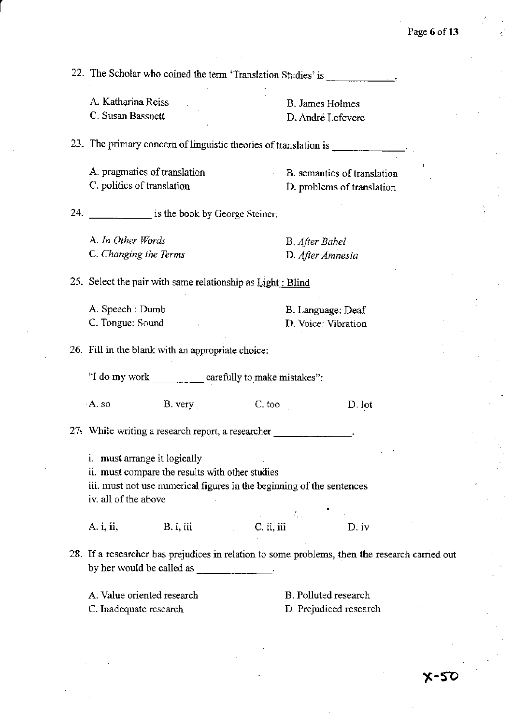22. The Scholar who coined the tenn 'Translation Studies' is ----

A. Katharina Reiss C. Susan Bassnett

r

B. James Holmes D. André Lefevere

23. The primary concern of linguistic theories of translation is \_ -----

A. pragmatics of translation C. politics of translation

B. semantics of translation D. problems of translation

24. \_\_\_\_\_\_\_\_ is the book by George Steiner:

A. *In Other Words*  C. *Changing the Terms*  B. *After Babel*  D. *After Amnesia* 

25. Select the pair with same relationship as Light: Blind

| A. Speech : Dumb | B. Language: Deaf   |
|------------------|---------------------|
| C. Tongue: Sound | D. Voice: Vibration |

26. Fill in the blank with an appropriate choice:

"I do my work carefully to make mistakes":

A. so B. very C. too D. lot

27~ While writing a research report, a researcher \_\_\_\_\_\_ \_

i. must arrange it logically

ii. must compare the results With other studies

iii. must not use numerical figures in the beginning of the sentences iv. all of the above

A. i, ii, B. i, iii C. ii, iii D. iv

28. If a researcher has prejudices in relation to some problems, then the research carried out by her would be called as **we have all** 

A. Value oriented research

C. Inadequate research

B. Polluted research D. Prejudiced research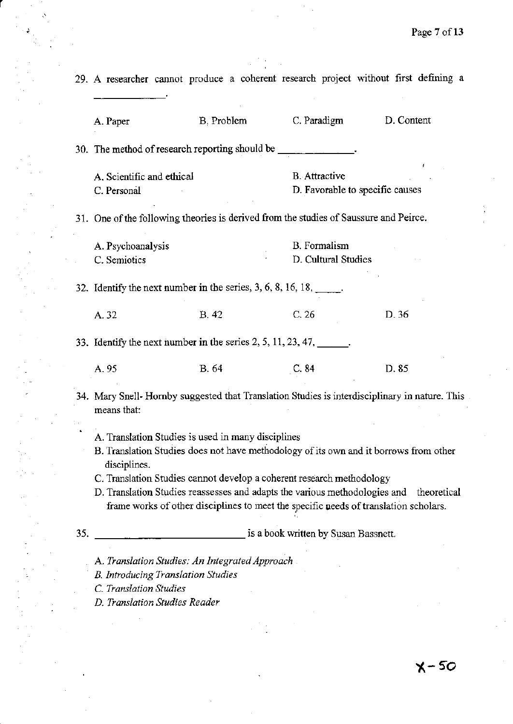29. A researcher cannot produce a coherent research project without first defining a A. Paper B, Problem C. Paradigm D. Content 30. The method of research reporting should be \_\_\_\_ A. Scientific and ethical C. Personal **B.** Attractive D. Favorable to specific causes 31. One of the following theories is derived from the studies of Saussure and Peirce. A. Psychoanalysis C. Semiotics B. Fonnalism D, Cultural Studies 32. Identify the next number **in** the series, 3, 6, 8, 16, 18, \_\_ ' A, 32 B, 42 C, 26 D, 36 33. Identify the next number **in** the series 2, 5, 11,23,47, \_\_ \_ A. 95 B. 64 C. 84 D. 85 34. Mary Snell- Hornby suggested that Translation Studies is interdisciplinary in nature. This means that: 35, A. Translation Studies is used in many disciplines B. Translation Studies does not have methodology of its own and it borrows from other disciplines. C. Translation Studies cannot develop a coherent research methodology D. Translation Studies reassesses and adapts the various methodologies and theoretical frame works of other disciplines to meet the specific ueeds of translation scholars. \_\_\_\_\_\_\_\_\_\_\_\_\_ is a book written by Susan Bassnett.

A. *Translation Studies: An Integrated Approach* 

B. *Introducing Translation Studies* 

C *Translation Studies* 

r

*D. Translation Studies Reader*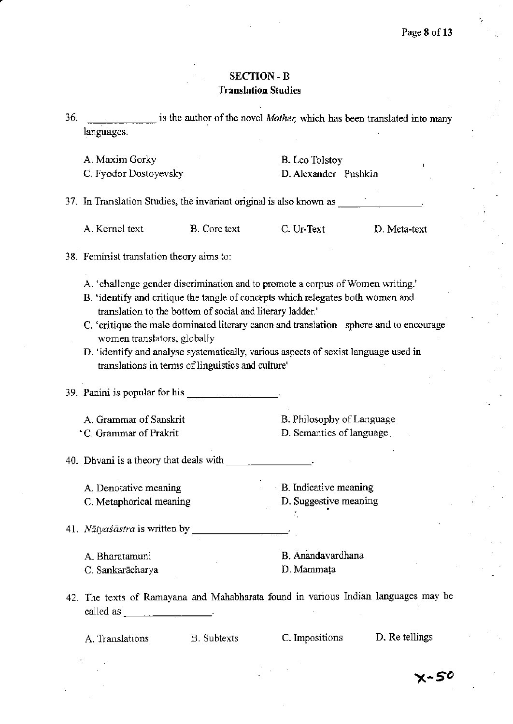# SECTION -B **Translation Studies**

| 36. |            | is the author of the novel <i>Mother</i> , which has been translated into many |  |
|-----|------------|--------------------------------------------------------------------------------|--|
|     | languages. |                                                                                |  |
|     |            |                                                                                |  |

| A. Maxim Gorky |  |
|----------------|--|
|                |  |
|                |  |
|                |  |

C. Fyodor Dostoyevsky D. Alexander Pushkin

B. Leo Tolstoy

37. In Translation Studies, the invariant original is also known as \_\_\_\_\_

A. Kernel text B. Core text C. Ur-Text D. Meta-text

# 38. Feminist translation theory aims to:

- A. 'challenge gender discrimination and to promote a corpus of Women writing.'
- B. 'identify and critique the tangle of concepts which relegates both women and translation to the bottom of social and literary ladder.'
- C. 'critique the male dominated literary canon and translation sphere and to encourage women translators, global1y
- D. 'identify and analyse systematically, various aspects of sexist language used in translations in terms of linguistics and culture'

39. Panini is popular for his  $\frac{1}{2}$   $\frac{1}{2}$   $\frac{1}{2}$   $\frac{1}{2}$   $\frac{1}{2}$   $\frac{1}{2}$   $\frac{1}{2}$   $\frac{1}{2}$   $\frac{1}{2}$   $\frac{1}{2}$   $\frac{1}{2}$   $\frac{1}{2}$   $\frac{1}{2}$   $\frac{1}{2}$   $\frac{1}{2}$   $\frac{1}{2}$   $\frac{1}{2}$   $\frac{1}{2}$   $\frac{1}{2}$ 

A. Grammar of Sanskrit ~C. Grammar ofPrakrit

B. Philosophy of Language

D. Semantics of language

40. Dhvani is a theory that deals with

A Denotative meaning C. Metaphorical meaning B. Indicative meaning

D. Suggestive meaning

41. Nātyasāstra is written by \_

A. Bharatamuni

C. Sankarācharya

B. Anandavardhana D.Mammata

÷.

42. The texts of Ramayana and Mahabharata found in various Indian languages may be called as  $\qquad \qquad$ 

A Translations B. Subtexts C. Impositions D. Re tellings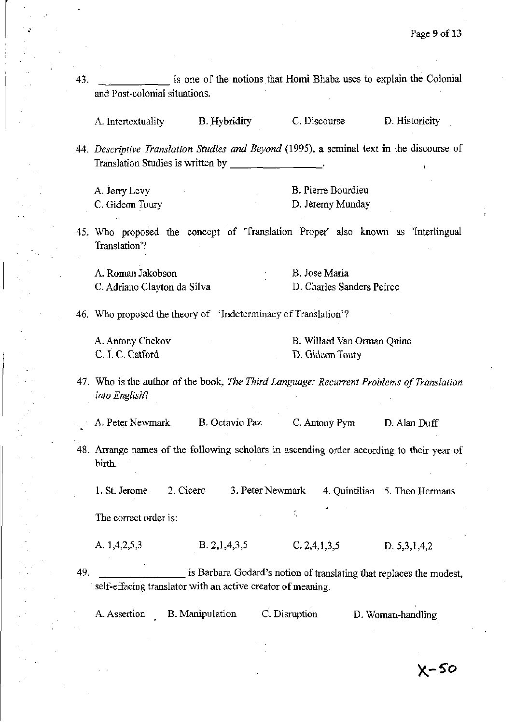| and Post-colonial situations.     |                                                                | is one of the notions that Homi Bhaba uses to explain the Colonial                       |                                                                                           |
|-----------------------------------|----------------------------------------------------------------|------------------------------------------------------------------------------------------|-------------------------------------------------------------------------------------------|
|                                   |                                                                |                                                                                          |                                                                                           |
| A. Intertextuality                | <b>B.</b> Hybridity                                            | C. Discourse                                                                             | D. Historicity                                                                            |
|                                   |                                                                |                                                                                          | 44. Descriptive Translation Studies and Beyond (1995), a seminal text in the discourse of |
| Translation Studies is written by |                                                                |                                                                                          |                                                                                           |
| A. Jerry Levy                     |                                                                | B. Pierre Bourdieu                                                                       |                                                                                           |
| C. Gideon Toury                   |                                                                | D. Jeremy Munday                                                                         |                                                                                           |
| A. Roman Jakobson                 |                                                                | B. Jose Maria<br>D. Charles Sanders Peirce                                               |                                                                                           |
| C. Adriano Clayton da Silva       |                                                                |                                                                                          |                                                                                           |
|                                   | 46. Who proposed the theory of 'Indeterminacy of Translation'? |                                                                                          |                                                                                           |
|                                   |                                                                |                                                                                          |                                                                                           |
| A. Antony Chekov                  |                                                                | B. Willard Van Orman Quine                                                               |                                                                                           |
| C. J. C. Catford                  |                                                                | D. Gideon Toury                                                                          |                                                                                           |
| into English?                     |                                                                | 47. Who is the author of the book, The Third Language: Recurrent Problems of Translation |                                                                                           |

1. St. Jerome 2. Cicero 3. Peter Newmark 4. Quintilian 5. Theo Hermans

 $\tilde{r}_i$ 

The correct order is:

 $\vert$ 

A. 1,4,2,5,3 B. 2,1,4,3,5 C. 2,4,1,3,5 D. 5,3,1,4,2

49. **is Barbara Godard's notion of translating that replaces the modest,** self-effacing translator with an active creator of meaning.

A. Assertion B. Manipulation C. Disruption D. Woman-handling

 $X-50$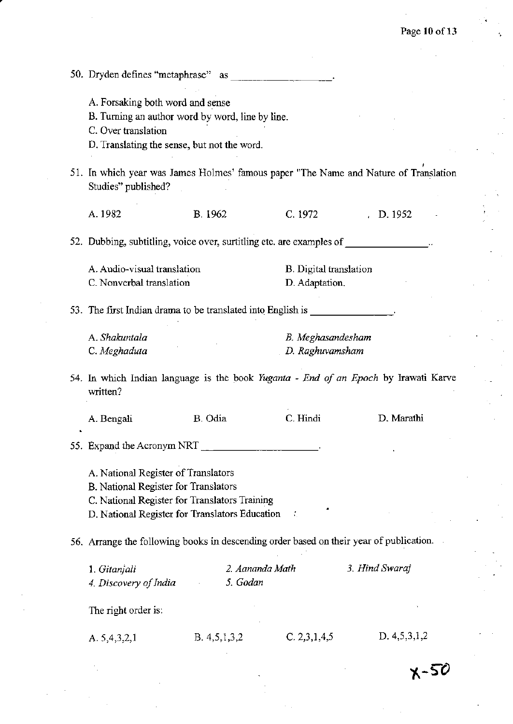k,

| 50. Dryden defines "metaphrase"                                                                                                                                                | as                          |                                                 |                                                                                      |
|--------------------------------------------------------------------------------------------------------------------------------------------------------------------------------|-----------------------------|-------------------------------------------------|--------------------------------------------------------------------------------------|
| A. Forsaking both word and sense<br>B. Turning an author word by word, line by line.<br>C. Over translation<br>D. Translating the sense, but not the word.                     |                             |                                                 |                                                                                      |
| Studies" published?                                                                                                                                                            |                             |                                                 | 51. In which year was James Holmes' famous paper "The Name and Nature of Translation |
| A.1982                                                                                                                                                                         | <b>B.</b> 1962              | C. 1972                                         | $\,$ , D. 1952                                                                       |
| 52. Dubbing, subtitling, voice over, surtitling etc. are examples of                                                                                                           |                             |                                                 |                                                                                      |
| A. Audio-visual translation<br>C. Nonverbal translation                                                                                                                        |                             | <b>B.</b> Digital translation<br>D. Adaptation. |                                                                                      |
| 53. The first Indian drama to be translated into English is ______________.                                                                                                    |                             |                                                 |                                                                                      |
| A. Shakuntala<br>C. Meghaduta                                                                                                                                                  |                             | B. Meghasandesham<br>D. Raghuvamsham            |                                                                                      |
| 54. In which Indian language is the book Yuganta - End of an Epoch by Irawati Karve<br>written?                                                                                |                             |                                                 |                                                                                      |
| A. Bengali                                                                                                                                                                     | B. Odia                     | C. Hindi                                        | D. Marathi                                                                           |
| 55. Expand the Acronym NRT                                                                                                                                                     |                             |                                                 |                                                                                      |
| A. National Register of Translators<br>B. National Register for Translators<br>C. National Register for Translators Training<br>D. National Register for Translators Education |                             |                                                 |                                                                                      |
| 56. Arrange the following books in descending order based on their year of publication.                                                                                        |                             |                                                 |                                                                                      |
| 1. Gitanjali<br>4. Discovery of India                                                                                                                                          | 2. Aananda Math<br>5. Godan |                                                 | 3. Hind Swaraj                                                                       |
| The right order is:                                                                                                                                                            |                             |                                                 |                                                                                      |
| A. 5,4,3,2,1                                                                                                                                                                   | B. 4,5,1,3,2                | C. 2, 3, 1, 4, 5                                | D. 4, 5, 3, 1, 2                                                                     |
|                                                                                                                                                                                |                             |                                                 | X-56                                                                                 |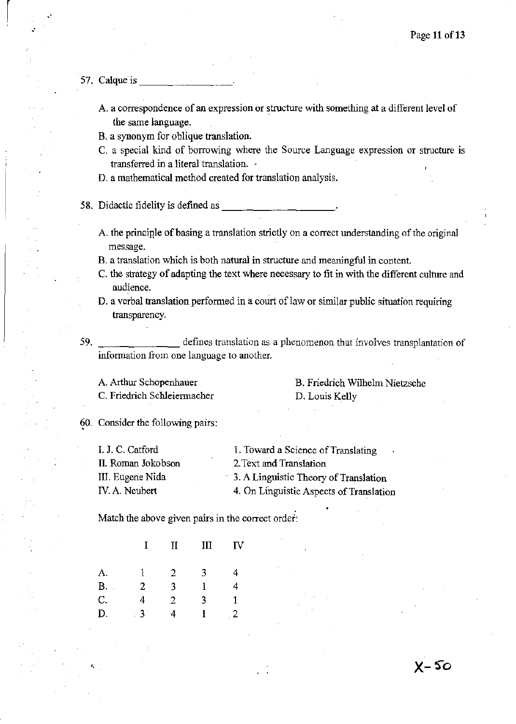### 57. Calque is

 $\vert$ 

- A. a correspondence of an expression or structure with something at a different level of the same language.
- B. a synonym for oblique translation.
- C. a special kind of borrowing where the Source Language expression or structure is transferred in a literal translation. -
- D. a mathematical method created for translation analysis.

58. Didactic fidelity is defined as

- A. the principle of basing a translation strictly on a correct understanding of the original message.
- B. a translation which is both natural in structure and meaningful in content.
- C. the strategy of adapting the text where necessary to fit in with the different culture and audience.
- D. a verbal translation performed in a court of law or similar public situation requiring transparency.
- 59. \_\_\_\_\_\_\_ defines translation as a phenomenon that involves transplantation of information from one language to another.

A. Arthur Schopenhauer C. Friedrich Schleiermacher B. Friedrich Wilhelm Nietzsche D. Louis Kelly

 $X-50$ 

60. Consider the following pairs:

| I. J. C. Catford   | 1. Toward a Science of Translating      |
|--------------------|-----------------------------------------|
| II. Roman Jokobson | 2. Text and Translation                 |
| III. Eugene Nida   | 3. A Linguistic Theory of Translation   |
| IV. A. Neubert     | 4. On Linguistic Aspects of Translation |

Match the above given pairs in the correct order:

|    | L | $\mathbf H$ | Ш | IV |
|----|---|-------------|---|----|
| A. | 1 | 2           | 3 | 4  |
| В. | 2 | 3           | 1 | 4  |
| C. | 4 | 2           | 3 | 1  |
| D. | 3 | 4           |   | 2  |

"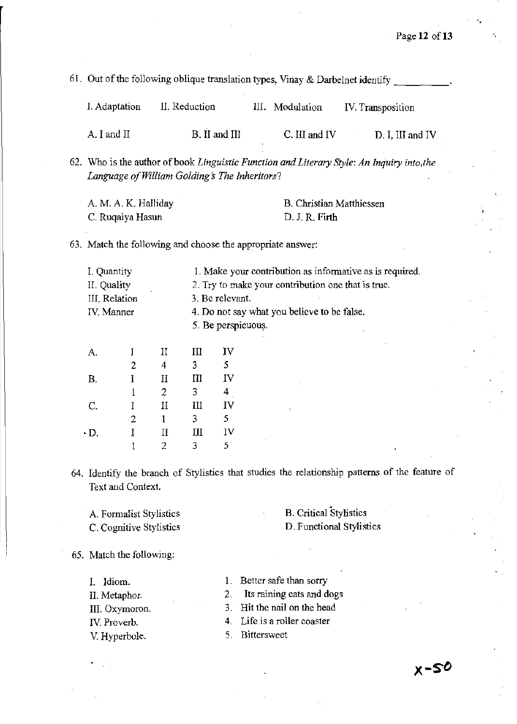61. Out of the following oblique translation types, Vinay & Darbelnet identify  $\frac{1}{\sqrt{1-\frac{1}{\sqrt{1-\frac{1}{\sqrt{1-\frac{1}{\sqrt{1-\frac{1}{\sqrt{1-\frac{1}{\sqrt{1-\frac{1}{\sqrt{1-\frac{1}{\sqrt{1-\frac{1}{\sqrt{1-\frac{1}{\sqrt{1-\frac{1}{\sqrt{1-\frac{1}{\sqrt{1-\frac{1}{\sqrt{1-\frac{1}{\sqrt{1-\frac{1}{\sqrt{1-\frac{1}{\$ 

| I. Adaptation  | II. Reduction | III. Modulation | IV. Transposition   |
|----------------|---------------|-----------------|---------------------|
| $A$ . I and II | B. II and III | C. III and IV   | $D$ . I, III and IV |

62. Who is the author of book *Linguistic Function and Literary Style: An Inquiry into,the Language a/William Golding s The Inheritors?* 

| A. M. A. K. Halliday | B. Christian Matthiessen |
|----------------------|--------------------------|
| C. Ruqaiya Hasun     | D. J. R. Firth           |

63. Match the following and choose the appropriate answer:

| I. Quantity   | 1. Make your contribution as informative as is required. |
|---------------|----------------------------------------------------------|
| II. Quality   | 2. Try to make your contribution one that is true.       |
| III. Relation | 3. Be relevant.                                          |
| IV. Manner    | 4. Do not say what you believe to be false.              |
|               | 5. Be perspicuous.                                       |
|               |                                                          |

| А.        | T              | П            | III | IV |
|-----------|----------------|--------------|-----|----|
|           | $\overline{2}$ | 4            | 3   | 5  |
| <b>B.</b> | Ī              | $\mathbf{I}$ | III | IV |
|           | 1              | 2            | 3   | 4  |
| C.        |                | Π            | Ш   | IV |
|           | 2              | 1            | 3   | 5. |
| ۰D.       |                | $\rm{II}$    | Ш   | IV |
|           |                | 2            | 3   | 5. |

64. Identify the branch of Stylistics that studies the relationship patterns of the feature of Text and Context.

A. Formalist Stylistics C. Cognitive Stylistics

# B. Critical Stylistics D. Functional Stylistics

65. Match the following:

I. Idiom.

II. Metaphor.

- **III.** Oxymoron.
- IV. Proverb.

V. Hyperbole.

2. Its raining cats and dogs

1. Better safe than sorry

- 3. Hit the nail on the head
- 4. Life is a roller coaster
- 5. Bittersweet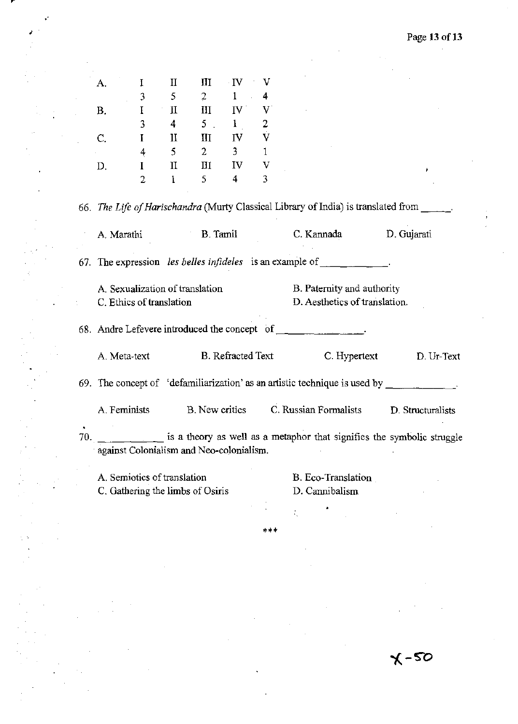$\mathbb{Z}_2$ 

|     | A.                          | I              |                        |                                          |                                                   |                |                                                                                                     |                                                                        |
|-----|-----------------------------|----------------|------------------------|------------------------------------------|---------------------------------------------------|----------------|-----------------------------------------------------------------------------------------------------|------------------------------------------------------------------------|
|     |                             |                | П                      | Ш                                        | $\cdot$ IV                                        | V              |                                                                                                     |                                                                        |
|     |                             | 3              | 5                      | $2 -$                                    | $\mathbf{1}$                                      | 4              |                                                                                                     |                                                                        |
|     | В.                          | $\mathbf I$    | П                      | III                                      | $\mathbf{N}^+$                                    | V              |                                                                                                     |                                                                        |
|     |                             | 3              | $4 \quad \blacksquare$ | 5 <sub>1</sub>                           | 1                                                 | $\overline{2}$ |                                                                                                     |                                                                        |
|     | C.                          | $\bf{I}$       | П                      | III                                      | IV                                                | $\mathbf{V}$   |                                                                                                     |                                                                        |
|     |                             | $\overline{4}$ | $5^{\circ}$            | $2 \left( \frac{1}{2} \right)$           | $3 \quad \blacksquare$                            | $\mathbf{1}$   |                                                                                                     |                                                                        |
|     | D.                          | $\bf{I}$       | $\rm{II}$              |                                          | $\overline{\mathbf{H}}$ $\mathbf{I}$ $\mathbf{V}$ | V              |                                                                                                     |                                                                        |
|     |                             | $\overline{2}$ | $\mathbf{1}$           | $5^{\circ}$                              | $4 -$                                             | 3              |                                                                                                     |                                                                        |
|     |                             |                |                        |                                          |                                                   |                | 66. The Life of Harischandra (Murty Classical Library of India) is translated from                  |                                                                        |
|     | A. Marathi                  |                |                        |                                          | B. Tamil                                          |                | C. Kannada D. Gujarati                                                                              |                                                                        |
|     |                             |                |                        |                                          |                                                   |                | 67. The expression les belles infideles is an example of $\Box$                                     |                                                                        |
|     |                             |                |                        | A. Sexualization of translation          |                                                   |                | B. Paternity and authority                                                                          |                                                                        |
|     | C. Ethics of translation    |                |                        |                                          |                                                   |                | D. Aesthetics of translation.                                                                       |                                                                        |
|     |                             |                |                        |                                          |                                                   |                |                                                                                                     |                                                                        |
|     | A. Meta-text                |                |                        |                                          | B. Refracted Text                                 |                | C. Hypertext                                                                                        | D. Ur-Text                                                             |
|     |                             |                |                        |                                          |                                                   |                | 69. The concept of 'defamiliarization' as an artistic technique is used by $\overline{\phantom{a}}$ |                                                                        |
|     | A. Feminists                |                |                        | B. New critics                           |                                                   |                | C. Russian Formalists                                                                               | D. Structuralists                                                      |
| 70. |                             |                |                        | against Colonialism and Neo-colonialism. |                                                   |                |                                                                                                     | is a theory as well as a metaphor that signifies the symbolic struggle |
|     | A. Semiotics of translation |                |                        |                                          |                                                   |                | B. Eco-Translation                                                                                  |                                                                        |
|     |                             |                |                        | C. Gathering the limbs of Osiris         |                                                   |                | D. Cannibalism                                                                                      |                                                                        |

.'

ł.

'\*\*

 $\dot{\zeta}$ 

 $x - 20$